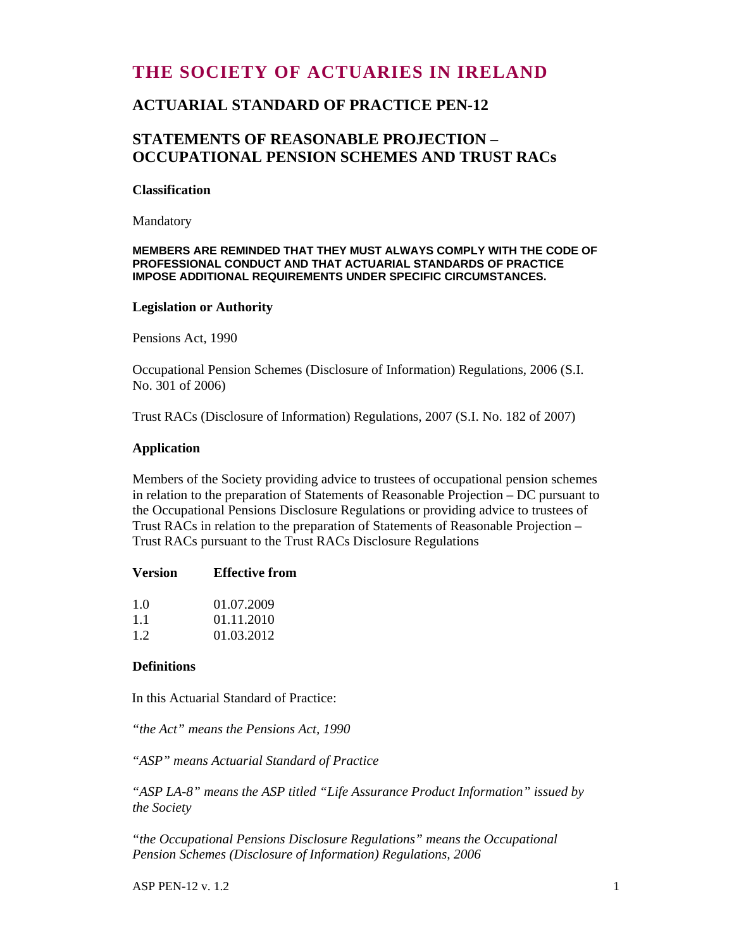# **THE SOCIETY OF ACTUARIES IN IRELAND**

## **ACTUARIAL STANDARD OF PRACTICE PEN-12**

## **STATEMENTS OF REASONABLE PROJECTION – OCCUPATIONAL PENSION SCHEMES AND TRUST RACs**

#### **Classification**

Mandatory

#### **MEMBERS ARE REMINDED THAT THEY MUST ALWAYS COMPLY WITH THE CODE OF PROFESSIONAL CONDUCT AND THAT ACTUARIAL STANDARDS OF PRACTICE IMPOSE ADDITIONAL REQUIREMENTS UNDER SPECIFIC CIRCUMSTANCES.**

#### **Legislation or Authority**

Pensions Act, 1990

Occupational Pension Schemes (Disclosure of Information) Regulations, 2006 (S.I. No. 301 of 2006)

Trust RACs (Disclosure of Information) Regulations, 2007 (S.I. No. 182 of 2007)

#### **Application**

Members of the Society providing advice to trustees of occupational pension schemes in relation to the preparation of Statements of Reasonable Projection – DC pursuant to the Occupational Pensions Disclosure Regulations or providing advice to trustees of Trust RACs in relation to the preparation of Statements of Reasonable Projection – Trust RACs pursuant to the Trust RACs Disclosure Regulations

| <b>Version</b> | <b>Effective from</b> |
|----------------|-----------------------|
| 1 O            | 01.07.2009            |
| 11             | 01.11.2010            |
| 12             | 01.03.2012            |

#### **Definitions**

In this Actuarial Standard of Practice:

*"the Act" means the Pensions Act, 1990* 

*"ASP" means Actuarial Standard of Practice* 

*"ASP LA-8" means the ASP titled "Life Assurance Product Information" issued by the Society* 

*"the Occupational Pensions Disclosure Regulations" means the Occupational Pension Schemes (Disclosure of Information) Regulations, 2006* 

 $\Delta$ SP PEN-12 v. 1.2 1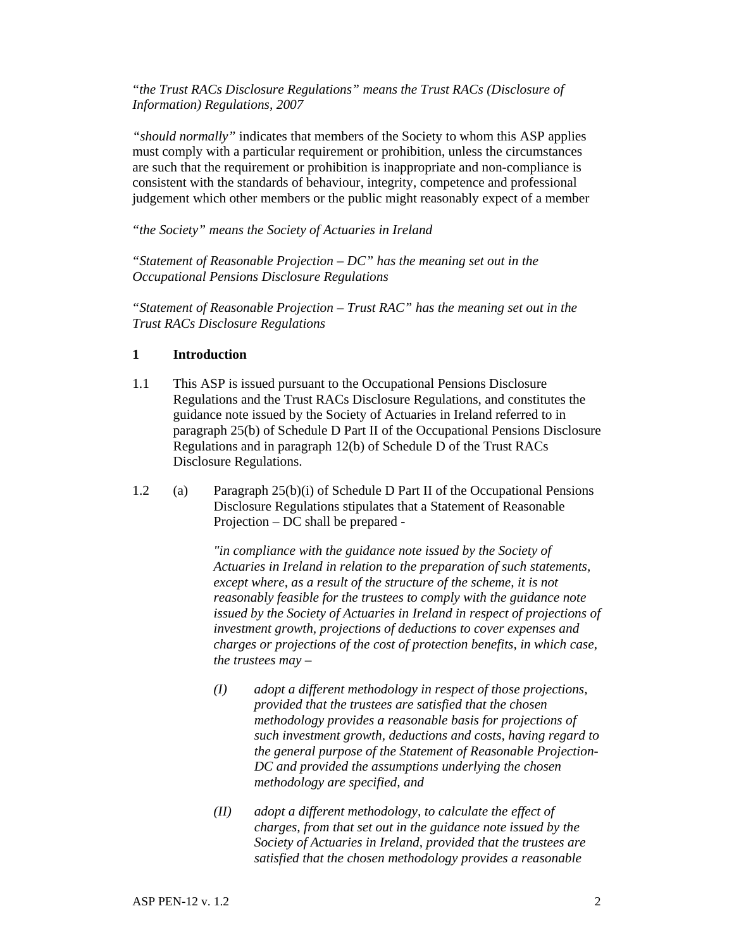*"the Trust RACs Disclosure Regulations" means the Trust RACs (Disclosure of Information) Regulations, 2007* 

*"should normally"* indicates that members of the Society to whom this ASP applies must comply with a particular requirement or prohibition, unless the circumstances are such that the requirement or prohibition is inappropriate and non-compliance is consistent with the standards of behaviour, integrity, competence and professional judgement which other members or the public might reasonably expect of a member

*"the Society" means the Society of Actuaries in Ireland* 

*"Statement of Reasonable Projection – DC" has the meaning set out in the Occupational Pensions Disclosure Regulations* 

*"Statement of Reasonable Projection – Trust RAC" has the meaning set out in the Trust RACs Disclosure Regulations* 

### **1 Introduction**

- 1.1 This ASP is issued pursuant to the Occupational Pensions Disclosure Regulations and the Trust RACs Disclosure Regulations, and constitutes the guidance note issued by the Society of Actuaries in Ireland referred to in paragraph 25(b) of Schedule D Part II of the Occupational Pensions Disclosure Regulations and in paragraph 12(b) of Schedule D of the Trust RACs Disclosure Regulations.
- 1.2 (a) Paragraph 25(b)(i) of Schedule D Part II of the Occupational Pensions Disclosure Regulations stipulates that a Statement of Reasonable Projection – DC shall be prepared -

 *"in compliance with the guidance note issued by the Society of Actuaries in Ireland in relation to the preparation of such statements, except where, as a result of the structure of the scheme, it is not reasonably feasible for the trustees to comply with the guidance note issued by the Society of Actuaries in Ireland in respect of projections of investment growth, projections of deductions to cover expenses and charges or projections of the cost of protection benefits, in which case, the trustees may –* 

- *(I) adopt a different methodology in respect of those projections, provided that the trustees are satisfied that the chosen methodology provides a reasonable basis for projections of such investment growth, deductions and costs, having regard to the general purpose of the Statement of Reasonable Projection-DC and provided the assumptions underlying the chosen methodology are specified, and*
- *(II) adopt a different methodology, to calculate the effect of charges, from that set out in the guidance note issued by the Society of Actuaries in Ireland, provided that the trustees are satisfied that the chosen methodology provides a reasonable*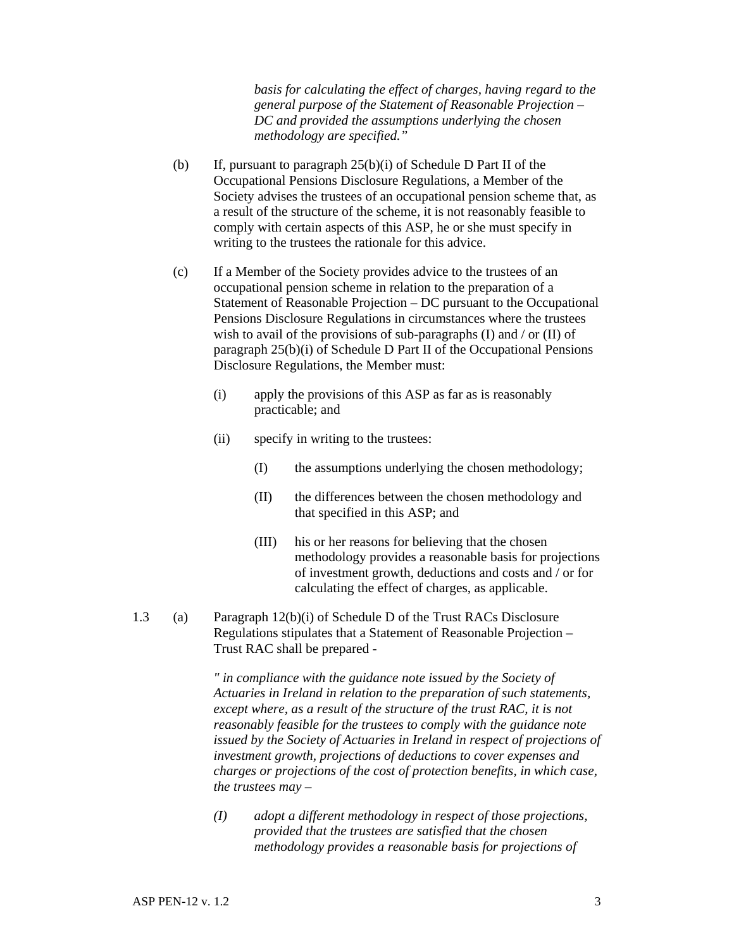*basis for calculating the effect of charges, having regard to the general purpose of the Statement of Reasonable Projection – DC and provided the assumptions underlying the chosen methodology are specified."* 

- (b) If, pursuant to paragraph 25(b)(i) of Schedule D Part II of the Occupational Pensions Disclosure Regulations, a Member of the Society advises the trustees of an occupational pension scheme that, as a result of the structure of the scheme, it is not reasonably feasible to comply with certain aspects of this ASP, he or she must specify in writing to the trustees the rationale for this advice.
- (c) If a Member of the Society provides advice to the trustees of an occupational pension scheme in relation to the preparation of a Statement of Reasonable Projection – DC pursuant to the Occupational Pensions Disclosure Regulations in circumstances where the trustees wish to avail of the provisions of sub-paragraphs (I) and  $/$  or (II) of paragraph 25(b)(i) of Schedule D Part II of the Occupational Pensions Disclosure Regulations, the Member must:
	- (i) apply the provisions of this ASP as far as is reasonably practicable; and
	- (ii) specify in writing to the trustees:
		- (I) the assumptions underlying the chosen methodology;
		- (II) the differences between the chosen methodology and that specified in this ASP; and
		- (III) his or her reasons for believing that the chosen methodology provides a reasonable basis for projections of investment growth, deductions and costs and / or for calculating the effect of charges, as applicable.
- 1.3 (a) Paragraph 12(b)(i) of Schedule D of the Trust RACs Disclosure Regulations stipulates that a Statement of Reasonable Projection – Trust RAC shall be prepared -

 *" in compliance with the guidance note issued by the Society of Actuaries in Ireland in relation to the preparation of such statements, except where, as a result of the structure of the trust RAC, it is not reasonably feasible for the trustees to comply with the guidance note issued by the Society of Actuaries in Ireland in respect of projections of investment growth, projections of deductions to cover expenses and charges or projections of the cost of protection benefits, in which case, the trustees may –* 

 *(I) adopt a different methodology in respect of those projections, provided that the trustees are satisfied that the chosen methodology provides a reasonable basis for projections of*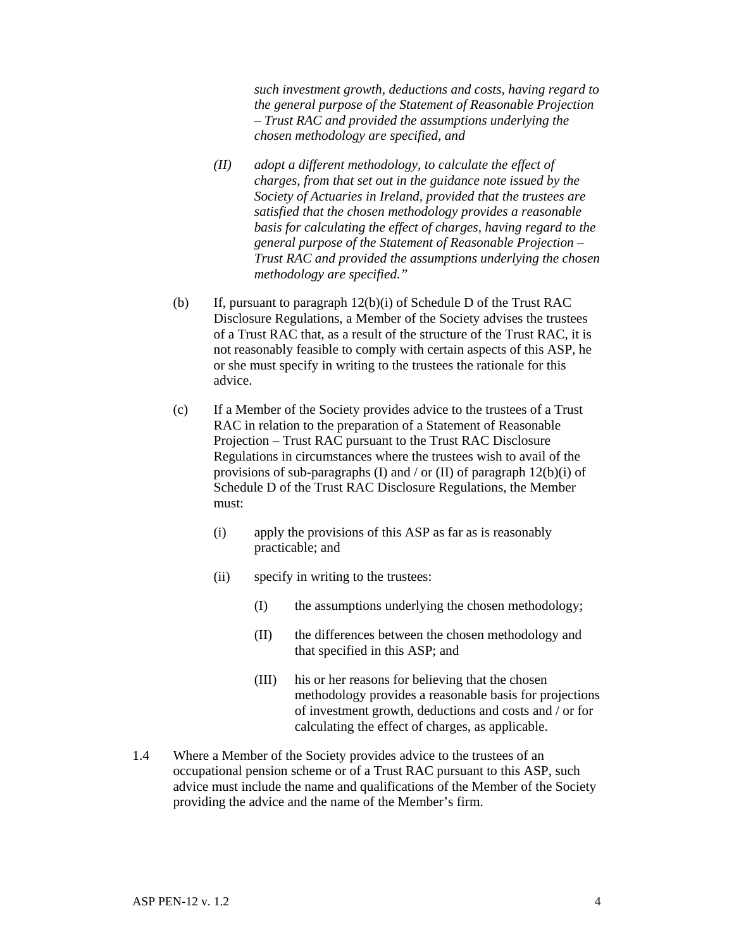*such investment growth, deductions and costs, having regard to the general purpose of the Statement of Reasonable Projection – Trust RAC and provided the assumptions underlying the chosen methodology are specified, and* 

- *(II) adopt a different methodology, to calculate the effect of charges, from that set out in the guidance note issued by the Society of Actuaries in Ireland, provided that the trustees are satisfied that the chosen methodology provides a reasonable basis for calculating the effect of charges, having regard to the general purpose of the Statement of Reasonable Projection – Trust RAC and provided the assumptions underlying the chosen methodology are specified."*
- (b) If, pursuant to paragraph 12(b)(i) of Schedule D of the Trust RAC Disclosure Regulations, a Member of the Society advises the trustees of a Trust RAC that, as a result of the structure of the Trust RAC, it is not reasonably feasible to comply with certain aspects of this ASP, he or she must specify in writing to the trustees the rationale for this advice.
- (c) If a Member of the Society provides advice to the trustees of a Trust RAC in relation to the preparation of a Statement of Reasonable Projection – Trust RAC pursuant to the Trust RAC Disclosure Regulations in circumstances where the trustees wish to avail of the provisions of sub-paragraphs (I) and / or (II) of paragraph  $12(b)(i)$  of Schedule D of the Trust RAC Disclosure Regulations, the Member must:
	- (i) apply the provisions of this ASP as far as is reasonably practicable; and
	- (ii) specify in writing to the trustees:
		- (I) the assumptions underlying the chosen methodology;
		- (II) the differences between the chosen methodology and that specified in this ASP; and
		- (III) his or her reasons for believing that the chosen methodology provides a reasonable basis for projections of investment growth, deductions and costs and / or for calculating the effect of charges, as applicable.
- 1.4 Where a Member of the Society provides advice to the trustees of an occupational pension scheme or of a Trust RAC pursuant to this ASP, such advice must include the name and qualifications of the Member of the Society providing the advice and the name of the Member's firm.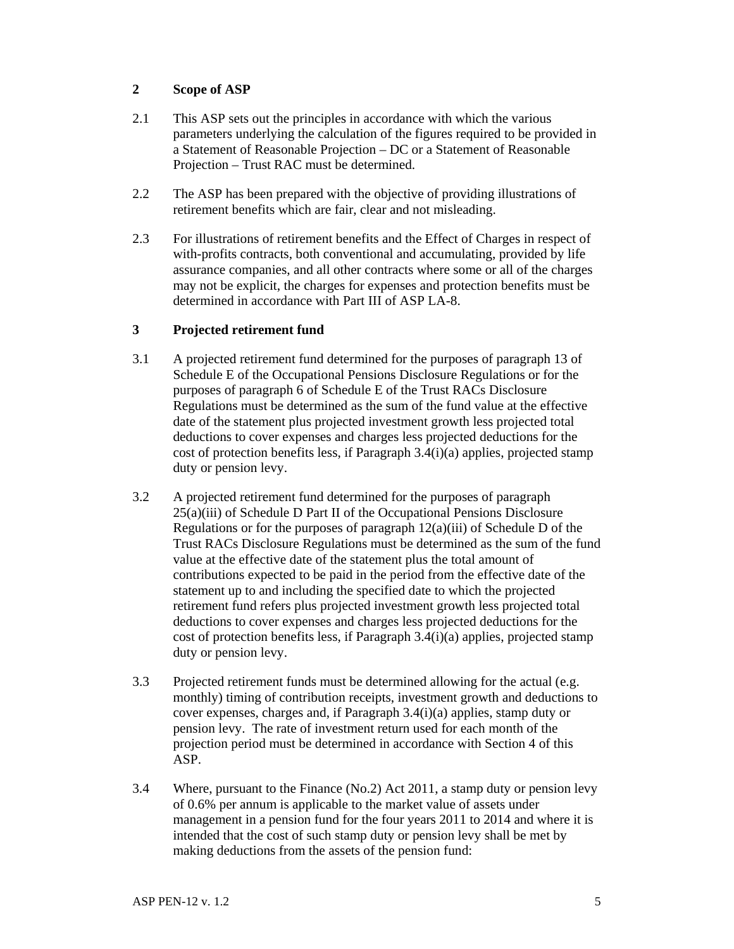### **2 Scope of ASP**

- 2.1 This ASP sets out the principles in accordance with which the various parameters underlying the calculation of the figures required to be provided in a Statement of Reasonable Projection – DC or a Statement of Reasonable Projection – Trust RAC must be determined.
- 2.2 The ASP has been prepared with the objective of providing illustrations of retirement benefits which are fair, clear and not misleading.
- 2.3 For illustrations of retirement benefits and the Effect of Charges in respect of with-profits contracts, both conventional and accumulating, provided by life assurance companies, and all other contracts where some or all of the charges may not be explicit, the charges for expenses and protection benefits must be determined in accordance with Part III of ASP LA-8.

### **3 Projected retirement fund**

- 3.1 A projected retirement fund determined for the purposes of paragraph 13 of Schedule E of the Occupational Pensions Disclosure Regulations or for the purposes of paragraph 6 of Schedule E of the Trust RACs Disclosure Regulations must be determined as the sum of the fund value at the effective date of the statement plus projected investment growth less projected total deductions to cover expenses and charges less projected deductions for the cost of protection benefits less, if Paragraph 3.4(i)(a) applies, projected stamp duty or pension levy.
- 3.2 A projected retirement fund determined for the purposes of paragraph 25(a)(iii) of Schedule D Part II of the Occupational Pensions Disclosure Regulations or for the purposes of paragraph  $12(a)(iii)$  of Schedule D of the Trust RACs Disclosure Regulations must be determined as the sum of the fund value at the effective date of the statement plus the total amount of contributions expected to be paid in the period from the effective date of the statement up to and including the specified date to which the projected retirement fund refers plus projected investment growth less projected total deductions to cover expenses and charges less projected deductions for the cost of protection benefits less, if Paragraph  $3.4(i)(a)$  applies, projected stamp duty or pension levy.
- 3.3 Projected retirement funds must be determined allowing for the actual (e.g. monthly) timing of contribution receipts, investment growth and deductions to cover expenses, charges and, if Paragraph 3.4(i)(a) applies, stamp duty or pension levy. The rate of investment return used for each month of the projection period must be determined in accordance with Section 4 of this ASP.
- 3.4 Where, pursuant to the Finance (No.2) Act 2011, a stamp duty or pension levy of 0.6% per annum is applicable to the market value of assets under management in a pension fund for the four years 2011 to 2014 and where it is intended that the cost of such stamp duty or pension levy shall be met by making deductions from the assets of the pension fund: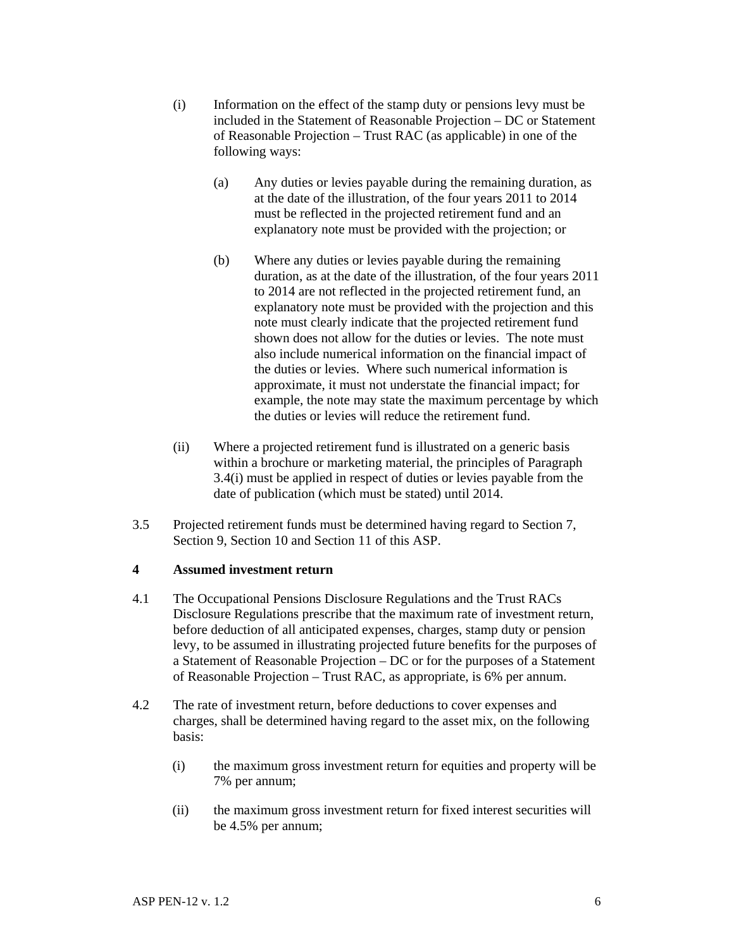- (i) Information on the effect of the stamp duty or pensions levy must be included in the Statement of Reasonable Projection – DC or Statement of Reasonable Projection – Trust RAC (as applicable) in one of the following ways:
	- (a) Any duties or levies payable during the remaining duration, as at the date of the illustration, of the four years 2011 to 2014 must be reflected in the projected retirement fund and an explanatory note must be provided with the projection; or
	- (b) Where any duties or levies payable during the remaining duration, as at the date of the illustration, of the four years 2011 to 2014 are not reflected in the projected retirement fund, an explanatory note must be provided with the projection and this note must clearly indicate that the projected retirement fund shown does not allow for the duties or levies. The note must also include numerical information on the financial impact of the duties or levies. Where such numerical information is approximate, it must not understate the financial impact; for example, the note may state the maximum percentage by which the duties or levies will reduce the retirement fund.
- (ii) Where a projected retirement fund is illustrated on a generic basis within a brochure or marketing material, the principles of Paragraph 3.4(i) must be applied in respect of duties or levies payable from the date of publication (which must be stated) until 2014.
- 3.5 Projected retirement funds must be determined having regard to Section 7, Section 9, Section 10 and Section 11 of this ASP.

### **4 Assumed investment return**

- 4.1 The Occupational Pensions Disclosure Regulations and the Trust RACs Disclosure Regulations prescribe that the maximum rate of investment return, before deduction of all anticipated expenses, charges, stamp duty or pension levy, to be assumed in illustrating projected future benefits for the purposes of a Statement of Reasonable Projection – DC or for the purposes of a Statement of Reasonable Projection – Trust RAC, as appropriate, is 6% per annum.
- 4.2 The rate of investment return, before deductions to cover expenses and charges, shall be determined having regard to the asset mix, on the following basis:
	- (i) the maximum gross investment return for equities and property will be 7% per annum;
	- (ii) the maximum gross investment return for fixed interest securities will be 4.5% per annum;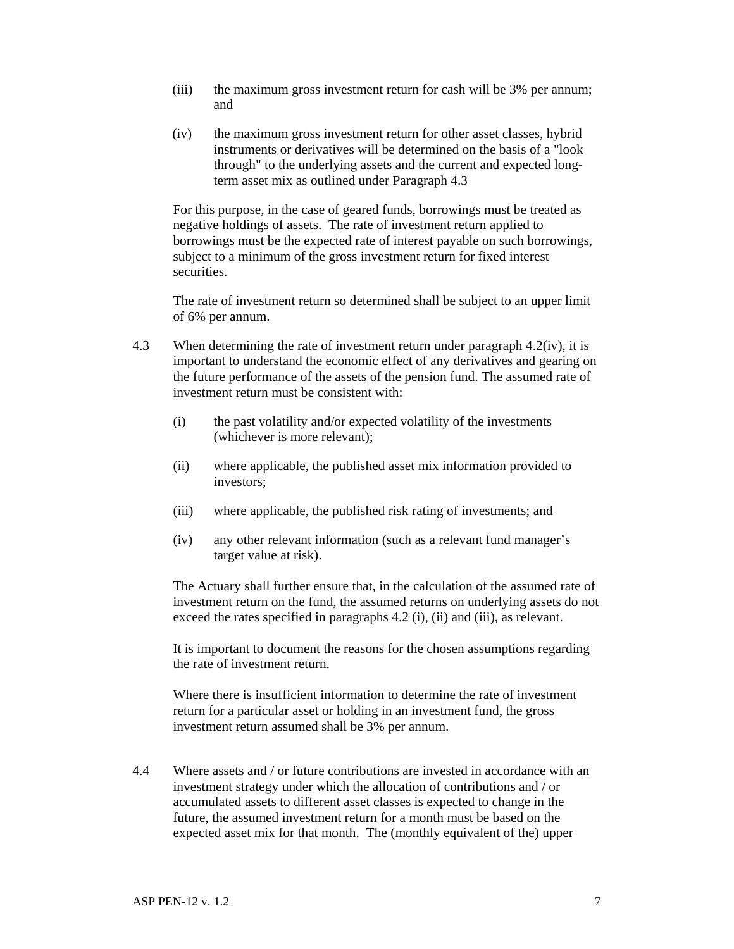- (iii) the maximum gross investment return for cash will be 3% per annum; and
- (iv) the maximum gross investment return for other asset classes, hybrid instruments or derivatives will be determined on the basis of a "look through" to the underlying assets and the current and expected longterm asset mix as outlined under Paragraph 4.3

 For this purpose, in the case of geared funds, borrowings must be treated as negative holdings of assets. The rate of investment return applied to borrowings must be the expected rate of interest payable on such borrowings, subject to a minimum of the gross investment return for fixed interest securities.

 The rate of investment return so determined shall be subject to an upper limit of 6% per annum.

- 4.3 When determining the rate of investment return under paragraph 4.2(iv), it is important to understand the economic effect of any derivatives and gearing on the future performance of the assets of the pension fund. The assumed rate of investment return must be consistent with:
	- (i) the past volatility and/or expected volatility of the investments (whichever is more relevant);
	- (ii) where applicable, the published asset mix information provided to investors;
	- (iii) where applicable, the published risk rating of investments; and
	- (iv) any other relevant information (such as a relevant fund manager's target value at risk).

The Actuary shall further ensure that, in the calculation of the assumed rate of investment return on the fund, the assumed returns on underlying assets do not exceed the rates specified in paragraphs 4.2 (i), (ii) and (iii), as relevant.

It is important to document the reasons for the chosen assumptions regarding the rate of investment return.

Where there is insufficient information to determine the rate of investment return for a particular asset or holding in an investment fund, the gross investment return assumed shall be 3% per annum.

4.4 Where assets and / or future contributions are invested in accordance with an investment strategy under which the allocation of contributions and / or accumulated assets to different asset classes is expected to change in the future, the assumed investment return for a month must be based on the expected asset mix for that month. The (monthly equivalent of the) upper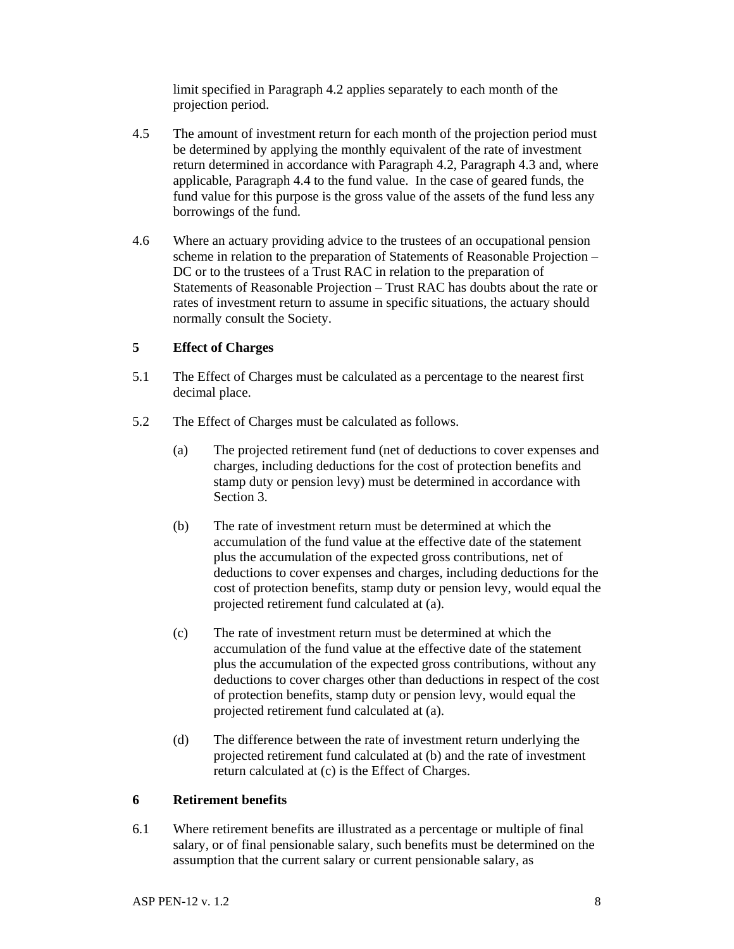limit specified in Paragraph 4.2 applies separately to each month of the projection period.

- 4.5 The amount of investment return for each month of the projection period must be determined by applying the monthly equivalent of the rate of investment return determined in accordance with Paragraph 4.2, Paragraph 4.3 and, where applicable, Paragraph 4.4 to the fund value. In the case of geared funds, the fund value for this purpose is the gross value of the assets of the fund less any borrowings of the fund.
- 4.6 Where an actuary providing advice to the trustees of an occupational pension scheme in relation to the preparation of Statements of Reasonable Projection – DC or to the trustees of a Trust RAC in relation to the preparation of Statements of Reasonable Projection – Trust RAC has doubts about the rate or rates of investment return to assume in specific situations, the actuary should normally consult the Society.

### **5 Effect of Charges**

- 5.1 The Effect of Charges must be calculated as a percentage to the nearest first decimal place.
- 5.2 The Effect of Charges must be calculated as follows.
	- (a) The projected retirement fund (net of deductions to cover expenses and charges, including deductions for the cost of protection benefits and stamp duty or pension levy) must be determined in accordance with Section 3.
	- (b) The rate of investment return must be determined at which the accumulation of the fund value at the effective date of the statement plus the accumulation of the expected gross contributions, net of deductions to cover expenses and charges, including deductions for the cost of protection benefits, stamp duty or pension levy, would equal the projected retirement fund calculated at (a).
	- (c) The rate of investment return must be determined at which the accumulation of the fund value at the effective date of the statement plus the accumulation of the expected gross contributions, without any deductions to cover charges other than deductions in respect of the cost of protection benefits, stamp duty or pension levy, would equal the projected retirement fund calculated at (a).
	- (d) The difference between the rate of investment return underlying the projected retirement fund calculated at (b) and the rate of investment return calculated at (c) is the Effect of Charges.

#### **6 Retirement benefits**

6.1 Where retirement benefits are illustrated as a percentage or multiple of final salary, or of final pensionable salary, such benefits must be determined on the assumption that the current salary or current pensionable salary, as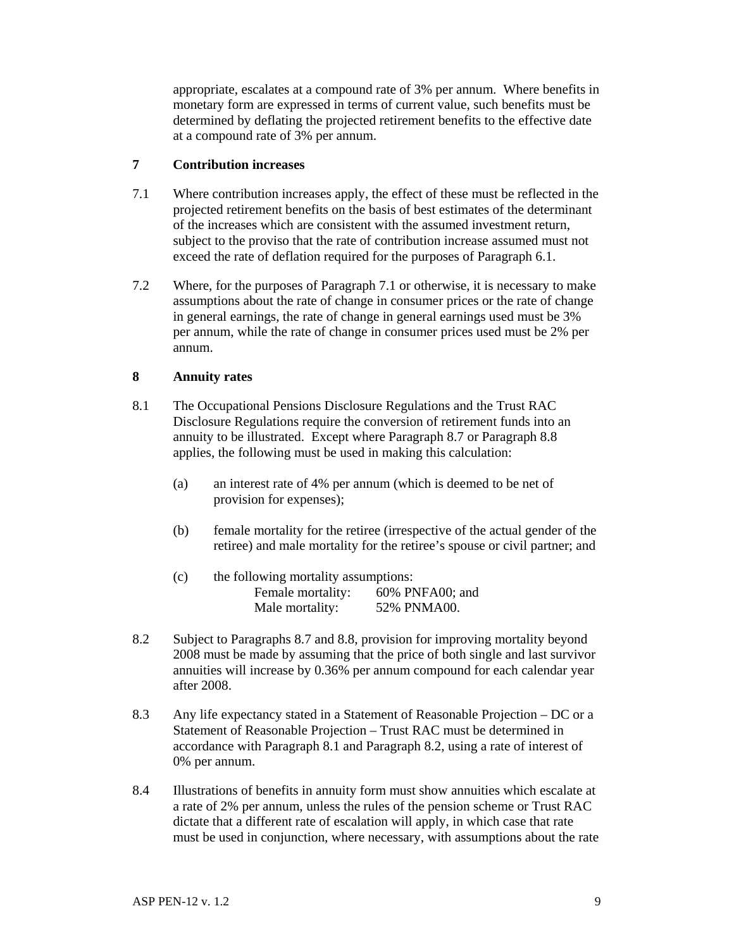appropriate, escalates at a compound rate of 3% per annum. Where benefits in monetary form are expressed in terms of current value, such benefits must be determined by deflating the projected retirement benefits to the effective date at a compound rate of 3% per annum.

### **7 Contribution increases**

- 7.1 Where contribution increases apply, the effect of these must be reflected in the projected retirement benefits on the basis of best estimates of the determinant of the increases which are consistent with the assumed investment return, subject to the proviso that the rate of contribution increase assumed must not exceed the rate of deflation required for the purposes of Paragraph 6.1.
- 7.2 Where, for the purposes of Paragraph 7.1 or otherwise, it is necessary to make assumptions about the rate of change in consumer prices or the rate of change in general earnings, the rate of change in general earnings used must be 3% per annum, while the rate of change in consumer prices used must be 2% per annum.

### **8 Annuity rates**

- 8.1 The Occupational Pensions Disclosure Regulations and the Trust RAC Disclosure Regulations require the conversion of retirement funds into an annuity to be illustrated. Except where Paragraph 8.7 or Paragraph 8.8 applies, the following must be used in making this calculation:
	- (a) an interest rate of 4% per annum (which is deemed to be net of provision for expenses);
	- (b) female mortality for the retiree (irrespective of the actual gender of the retiree) and male mortality for the retiree's spouse or civil partner; and

| (c) | the following mortality assumptions: |                 |  |
|-----|--------------------------------------|-----------------|--|
|     | Female mortality:                    | 60% PNFA00; and |  |
|     | Male mortality:                      | 52% PNMA00.     |  |

- 8.2 Subject to Paragraphs 8.7 and 8.8, provision for improving mortality beyond 2008 must be made by assuming that the price of both single and last survivor annuities will increase by 0.36% per annum compound for each calendar year after 2008.
- 8.3 Any life expectancy stated in a Statement of Reasonable Projection DC or a Statement of Reasonable Projection – Trust RAC must be determined in accordance with Paragraph 8.1 and Paragraph 8.2, using a rate of interest of 0% per annum.
- 8.4 Illustrations of benefits in annuity form must show annuities which escalate at a rate of 2% per annum, unless the rules of the pension scheme or Trust RAC dictate that a different rate of escalation will apply, in which case that rate must be used in conjunction, where necessary, with assumptions about the rate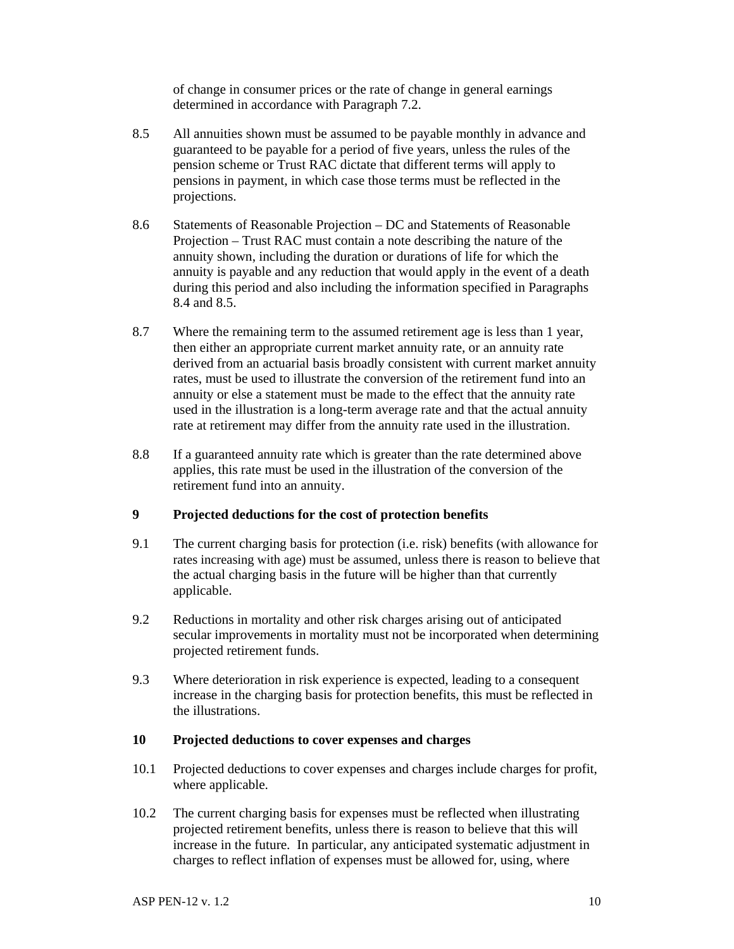of change in consumer prices or the rate of change in general earnings determined in accordance with Paragraph 7.2.

- 8.5 All annuities shown must be assumed to be payable monthly in advance and guaranteed to be payable for a period of five years, unless the rules of the pension scheme or Trust RAC dictate that different terms will apply to pensions in payment, in which case those terms must be reflected in the projections.
- 8.6 Statements of Reasonable Projection DC and Statements of Reasonable Projection – Trust RAC must contain a note describing the nature of the annuity shown, including the duration or durations of life for which the annuity is payable and any reduction that would apply in the event of a death during this period and also including the information specified in Paragraphs 8.4 and 8.5.
- 8.7 Where the remaining term to the assumed retirement age is less than 1 year, then either an appropriate current market annuity rate, or an annuity rate derived from an actuarial basis broadly consistent with current market annuity rates, must be used to illustrate the conversion of the retirement fund into an annuity or else a statement must be made to the effect that the annuity rate used in the illustration is a long-term average rate and that the actual annuity rate at retirement may differ from the annuity rate used in the illustration.
- 8.8 If a guaranteed annuity rate which is greater than the rate determined above applies, this rate must be used in the illustration of the conversion of the retirement fund into an annuity.

### **9 Projected deductions for the cost of protection benefits**

- 9.1 The current charging basis for protection (i.e. risk) benefits (with allowance for rates increasing with age) must be assumed, unless there is reason to believe that the actual charging basis in the future will be higher than that currently applicable.
- 9.2 Reductions in mortality and other risk charges arising out of anticipated secular improvements in mortality must not be incorporated when determining projected retirement funds.
- 9.3 Where deterioration in risk experience is expected, leading to a consequent increase in the charging basis for protection benefits, this must be reflected in the illustrations.

#### **10 Projected deductions to cover expenses and charges**

- 10.1 Projected deductions to cover expenses and charges include charges for profit, where applicable.
- 10.2 The current charging basis for expenses must be reflected when illustrating projected retirement benefits, unless there is reason to believe that this will increase in the future. In particular, any anticipated systematic adjustment in charges to reflect inflation of expenses must be allowed for, using, where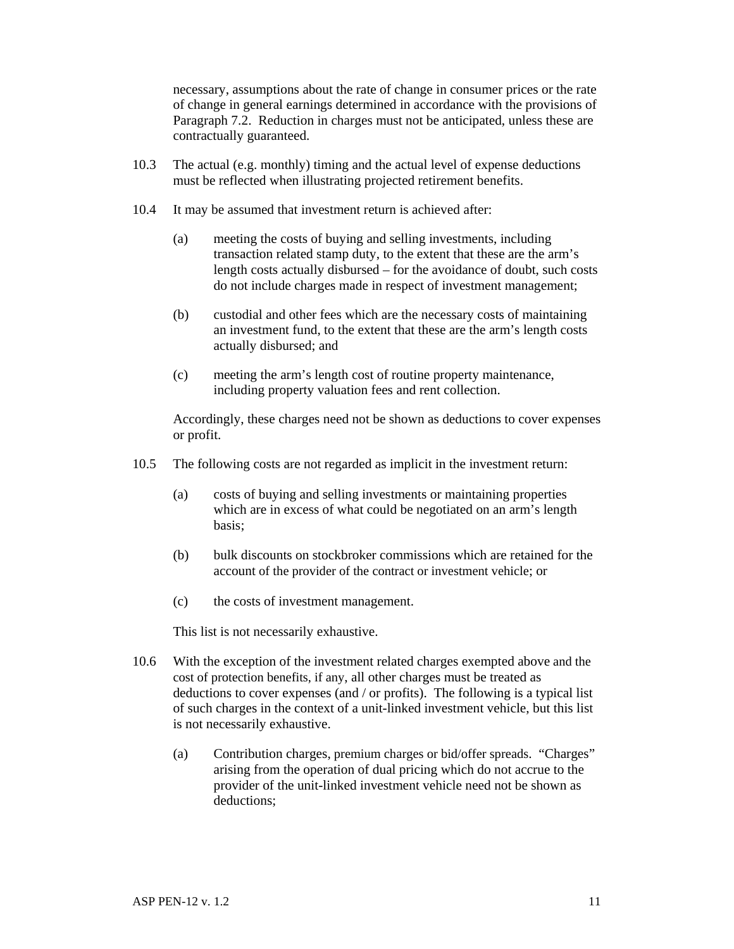necessary, assumptions about the rate of change in consumer prices or the rate of change in general earnings determined in accordance with the provisions of Paragraph 7.2. Reduction in charges must not be anticipated, unless these are contractually guaranteed.

- 10.3 The actual (e.g. monthly) timing and the actual level of expense deductions must be reflected when illustrating projected retirement benefits.
- 10.4 It may be assumed that investment return is achieved after:
	- (a) meeting the costs of buying and selling investments, including transaction related stamp duty, to the extent that these are the arm's length costs actually disbursed – for the avoidance of doubt, such costs do not include charges made in respect of investment management;
	- (b) custodial and other fees which are the necessary costs of maintaining an investment fund, to the extent that these are the arm's length costs actually disbursed; and
	- (c) meeting the arm's length cost of routine property maintenance, including property valuation fees and rent collection.

 Accordingly, these charges need not be shown as deductions to cover expenses or profit.

- 10.5 The following costs are not regarded as implicit in the investment return:
	- (a) costs of buying and selling investments or maintaining properties which are in excess of what could be negotiated on an arm's length basis;
	- (b) bulk discounts on stockbroker commissions which are retained for the account of the provider of the contract or investment vehicle; or
	- (c) the costs of investment management.

This list is not necessarily exhaustive.

- 10.6 With the exception of the investment related charges exempted above and the cost of protection benefits, if any, all other charges must be treated as deductions to cover expenses (and / or profits). The following is a typical list of such charges in the context of a unit-linked investment vehicle, but this list is not necessarily exhaustive.
	- (a) Contribution charges, premium charges or bid/offer spreads. "Charges" arising from the operation of dual pricing which do not accrue to the provider of the unit-linked investment vehicle need not be shown as deductions;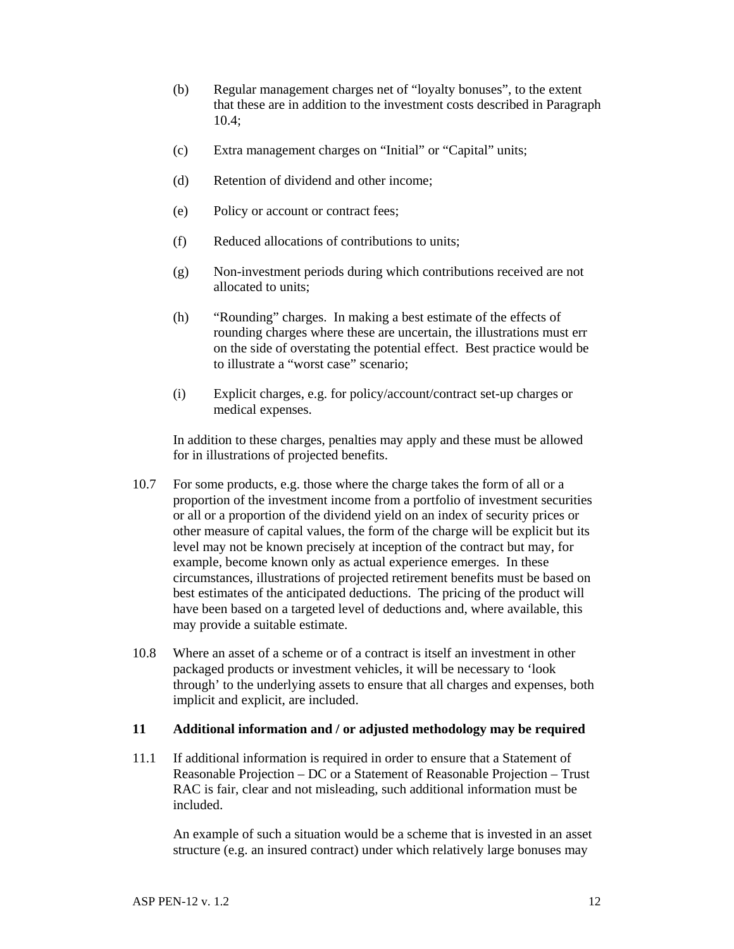- (b) Regular management charges net of "loyalty bonuses", to the extent that these are in addition to the investment costs described in Paragraph 10.4;
- (c) Extra management charges on "Initial" or "Capital" units;
- (d) Retention of dividend and other income;
- (e) Policy or account or contract fees;
- (f) Reduced allocations of contributions to units;
- (g) Non-investment periods during which contributions received are not allocated to units;
- (h) "Rounding" charges. In making a best estimate of the effects of rounding charges where these are uncertain, the illustrations must err on the side of overstating the potential effect. Best practice would be to illustrate a "worst case" scenario;
- (i) Explicit charges, e.g. for policy/account/contract set-up charges or medical expenses.

 In addition to these charges, penalties may apply and these must be allowed for in illustrations of projected benefits.

- 10.7 For some products, e.g. those where the charge takes the form of all or a proportion of the investment income from a portfolio of investment securities or all or a proportion of the dividend yield on an index of security prices or other measure of capital values, the form of the charge will be explicit but its level may not be known precisely at inception of the contract but may, for example, become known only as actual experience emerges. In these circumstances, illustrations of projected retirement benefits must be based on best estimates of the anticipated deductions. The pricing of the product will have been based on a targeted level of deductions and, where available, this may provide a suitable estimate.
- 10.8 Where an asset of a scheme or of a contract is itself an investment in other packaged products or investment vehicles, it will be necessary to 'look through' to the underlying assets to ensure that all charges and expenses, both implicit and explicit, are included.

#### **11 Additional information and / or adjusted methodology may be required**

11.1 If additional information is required in order to ensure that a Statement of Reasonable Projection – DC or a Statement of Reasonable Projection – Trust RAC is fair, clear and not misleading, such additional information must be included.

 An example of such a situation would be a scheme that is invested in an asset structure (e.g. an insured contract) under which relatively large bonuses may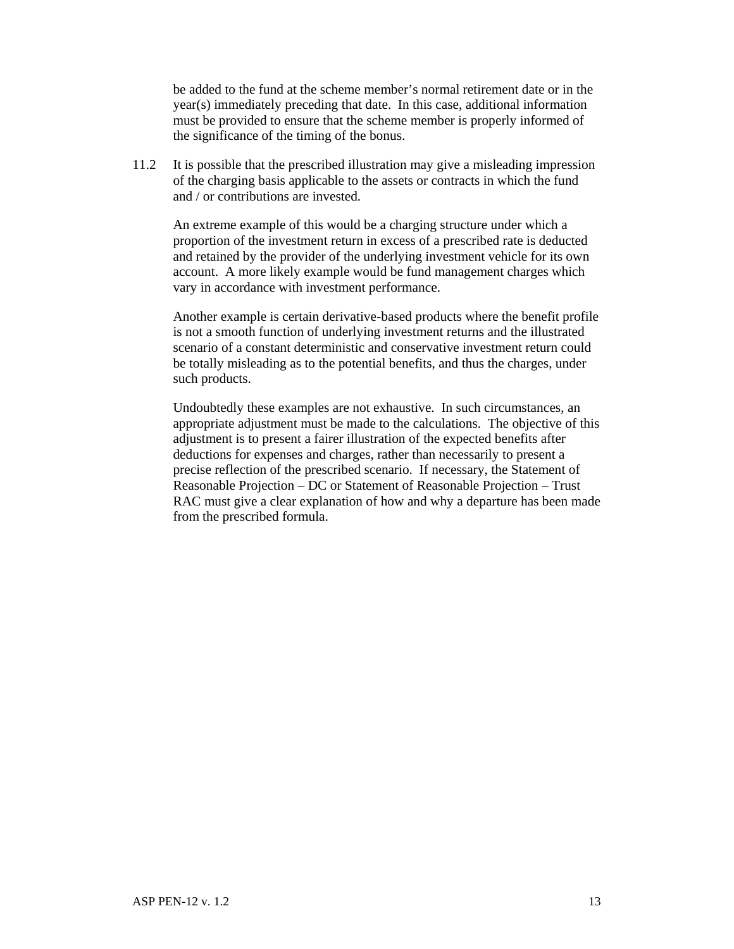be added to the fund at the scheme member's normal retirement date or in the year(s) immediately preceding that date. In this case, additional information must be provided to ensure that the scheme member is properly informed of the significance of the timing of the bonus.

11.2 It is possible that the prescribed illustration may give a misleading impression of the charging basis applicable to the assets or contracts in which the fund and / or contributions are invested.

 An extreme example of this would be a charging structure under which a proportion of the investment return in excess of a prescribed rate is deducted and retained by the provider of the underlying investment vehicle for its own account. A more likely example would be fund management charges which vary in accordance with investment performance.

 Another example is certain derivative-based products where the benefit profile is not a smooth function of underlying investment returns and the illustrated scenario of a constant deterministic and conservative investment return could be totally misleading as to the potential benefits, and thus the charges, under such products.

 Undoubtedly these examples are not exhaustive. In such circumstances, an appropriate adjustment must be made to the calculations. The objective of this adjustment is to present a fairer illustration of the expected benefits after deductions for expenses and charges, rather than necessarily to present a precise reflection of the prescribed scenario. If necessary, the Statement of Reasonable Projection – DC or Statement of Reasonable Projection – Trust RAC must give a clear explanation of how and why a departure has been made from the prescribed formula.